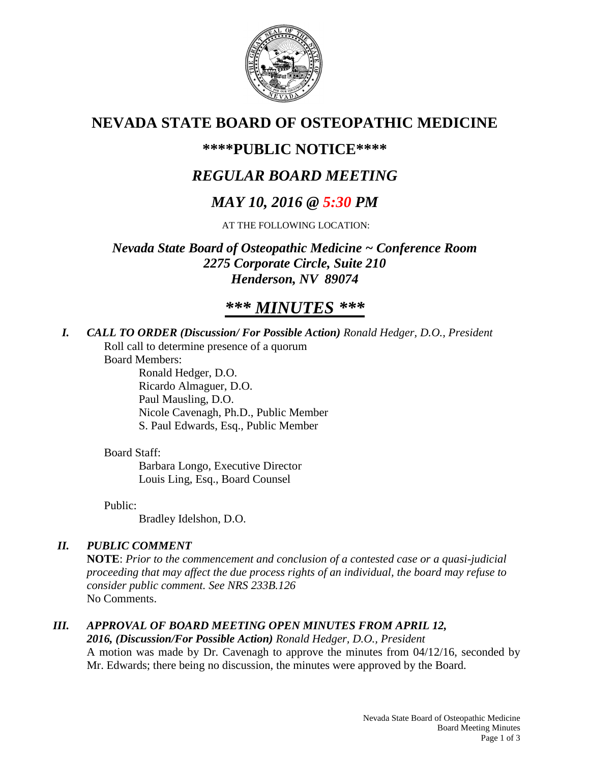

## **NEVADA STATE BOARD OF OSTEOPATHIC MEDICINE**

## **\*\*\*\*PUBLIC NOTICE\*\*\*\***

## *REGULAR BOARD MEETING*

# *MAY 10, 2016 @ 5:30 PM*

AT THE FOLLOWING LOCATION:

*Nevada State Board of Osteopathic Medicine ~ Conference Room 2275 Corporate Circle, Suite 210 Henderson, NV 89074*

# *\*\*\* MINUTES \*\*\**

*I. CALL TO ORDER (Discussion/ For Possible Action) Ronald Hedger, D.O., President* Roll call to determine presence of a quorum

Board Members:

Ronald Hedger, D.O. Ricardo Almaguer, D.O. Paul Mausling, D.O. Nicole Cavenagh, Ph.D., Public Member S. Paul Edwards, Esq., Public Member

### Board Staff:

Barbara Longo, Executive Director Louis Ling, Esq., Board Counsel

Public:

Bradley Idelshon, D.O.

## *II. PUBLIC COMMENT*

**NOTE**: *Prior to the commencement and conclusion of a contested case or a quasi-judicial proceeding that may affect the due process rights of an individual, the board may refuse to consider public comment. See NRS 233B.126* No Comments.

## *III. APPROVAL OF BOARD MEETING OPEN MINUTES FROM APRIL 12,*

### *2016, (Discussion/For Possible Action) Ronald Hedger, D.O., President*

A motion was made by Dr. Cavenagh to approve the minutes from 04/12/16, seconded by Mr. Edwards; there being no discussion, the minutes were approved by the Board.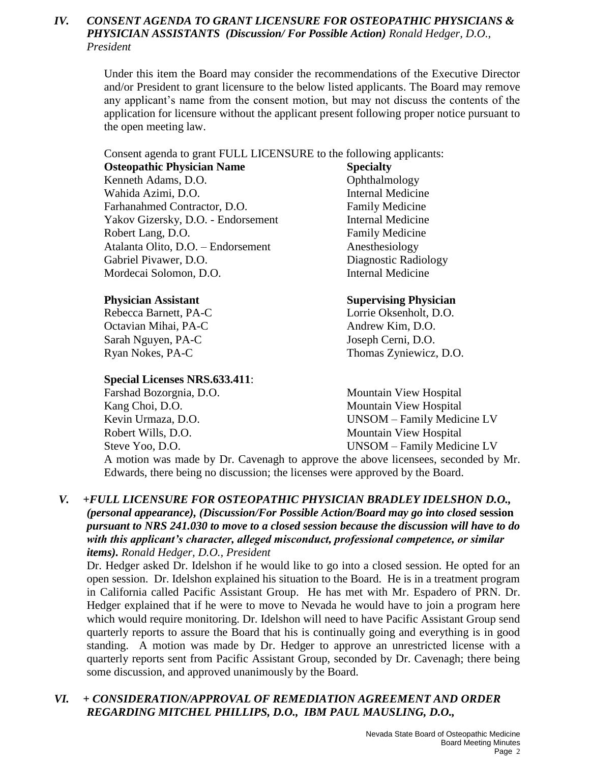### *IV. CONSENT AGENDA TO GRANT LICENSURE FOR OSTEOPATHIC PHYSICIANS & PHYSICIAN ASSISTANTS (Discussion/ For Possible Action) Ronald Hedger, D.O., President*

Under this item the Board may consider the recommendations of the Executive Director and/or President to grant licensure to the below listed applicants. The Board may remove any applicant's name from the consent motion, but may not discuss the contents of the application for licensure without the applicant present following proper notice pursuant to the open meeting law.

Consent agenda to grant FULL LICENSURE to the following applicants:

**Osteopathic Physician Name Specialty** Kenneth Adams, D.O. **Ophthalmology** Wahida Azimi, D.O. **Internal Medicine** Farhanahmed Contractor, D.O. Family Medicine Yakov Gizersky, D.O. - Endorsement Internal Medicine Robert Lang, D.O. **Family Medicine** Atalanta Olito, D.O. – Endorsement Anesthesiology Gabriel Pivawer, D.O. Diagnostic Radiology Mordecai Solomon, D.O. **Internal Medicine** 

Octavian Mihai, PA-C Andrew Kim, D.O. Sarah Nguyen, PA-C Joseph Cerni, D.O.

### **Special Licenses NRS.633.411**:

### **Physician Assistant Supervising Physician**

Rebecca Barnett, PA-C<br>
Lorrie Oksenholt, D.O. Ryan Nokes, PA-C Thomas Zyniewicz, D.O.

Farshad Bozorgnia, D.O. Mountain View Hospital Kang Choi, D.O. Mountain View Hospital Kevin Urmaza, D.O. UNSOM – Family Medicine LV Robert Wills, D.O. Mountain View Hospital Steve Yoo, D.O. UNSOM – Family Medicine LV

A motion was made by Dr. Cavenagh to approve the above licensees, seconded by Mr. Edwards, there being no discussion; the licenses were approved by the Board.

### *V. +FULL LICENSURE FOR OSTEOPATHIC PHYSICIAN BRADLEY IDELSHON D.O., (personal appearance), (Discussion/For Possible Action/Board may go into closed* **session** *pursuant to NRS 241.030 to move to a closed session because the discussion will have to do with this applicant's character, alleged misconduct, professional competence, or similar items). Ronald Hedger, D.O., President*

Dr. Hedger asked Dr. Idelshon if he would like to go into a closed session. He opted for an open session. Dr. Idelshon explained his situation to the Board. He is in a treatment program in California called Pacific Assistant Group. He has met with Mr. Espadero of PRN. Dr. Hedger explained that if he were to move to Nevada he would have to join a program here which would require monitoring. Dr. Idelshon will need to have Pacific Assistant Group send quarterly reports to assure the Board that his is continually going and everything is in good standing. A motion was made by Dr. Hedger to approve an unrestricted license with a quarterly reports sent from Pacific Assistant Group, seconded by Dr. Cavenagh; there being some discussion, and approved unanimously by the Board.

### *VI. + CONSIDERATION/APPROVAL OF REMEDIATION AGREEMENT AND ORDER REGARDING MITCHEL PHILLIPS, D.O., IBM PAUL MAUSLING, D.O.,*